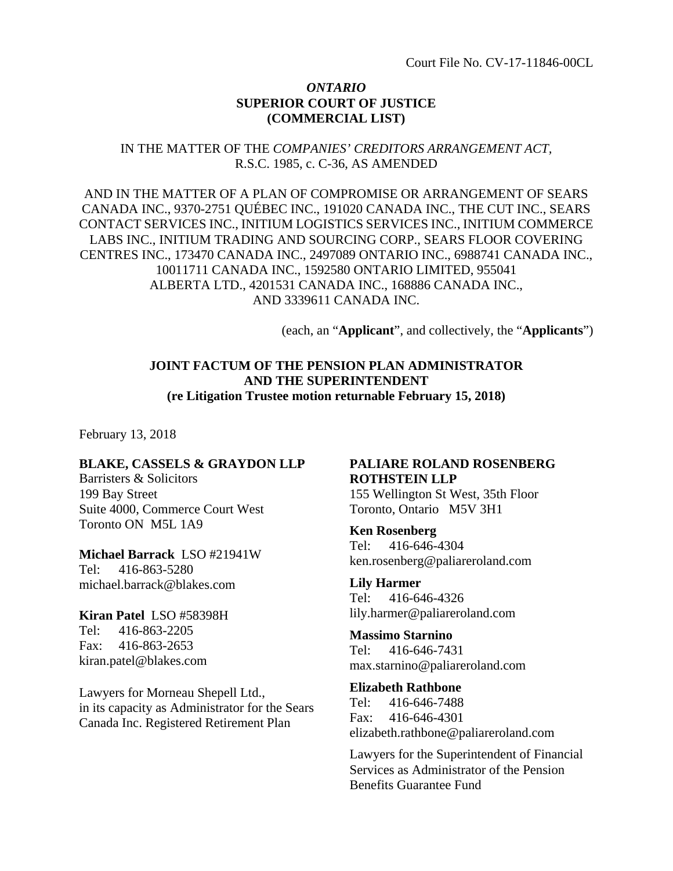### *ONTARIO*  **SUPERIOR COURT OF JUSTICE (COMMERCIAL LIST)**

IN THE MATTER OF THE *COMPANIES' CREDITORS ARRANGEMENT ACT,* R.S.C. 1985, c. C-36, AS AMENDED

AND IN THE MATTER OF A PLAN OF COMPROMISE OR ARRANGEMENT OF SEARS CANADA INC., 9370-2751 QUÉBEC INC., 191020 CANADA INC., THE CUT INC., SEARS CONTACT SERVICES INC., INITIUM LOGISTICS SERVICES INC., INITIUM COMMERCE LABS INC., INITIUM TRADING AND SOURCING CORP., SEARS FLOOR COVERING CENTRES INC., 173470 CANADA INC., 2497089 ONTARIO INC., 6988741 CANADA INC., 10011711 CANADA INC., 1592580 ONTARIO LIMITED, 955041 ALBERTA LTD., 4201531 CANADA INC., 168886 CANADA INC., AND 3339611 CANADA INC.

(each, an "**Applicant**", and collectively, the "**Applicants**")

### **JOINT FACTUM OF THE PENSION PLAN ADMINISTRATOR AND THE SUPERINTENDENT (re Litigation Trustee motion returnable February 15, 2018)**

February 13, 2018

### **BLAKE, CASSELS & GRAYDON LLP**

Barristers & Solicitors 199 Bay Street Suite 4000, Commerce Court West Toronto ON M5L 1A9

**Michael Barrack** LSO #21941W Tel: 416-863-5280 michael.barrack@blakes.com

**Kiran Patel** LSO #58398H Tel: 416-863-2205 Fax: 416-863-2653 kiran.patel@blakes.com

Lawyers for Morneau Shepell Ltd., in its capacity as Administrator for the Sears Canada Inc. Registered Retirement Plan

# **PALIARE ROLAND ROSENBERG ROTHSTEIN LLP**

155 Wellington St West, 35th Floor Toronto, Ontario M5V 3H1

**Ken Rosenberg** Tel: 416-646-4304 ken.rosenberg@paliareroland.com

**Lily Harmer** Tel: 416-646-4326 lily.harmer@paliareroland.com

**Massimo Starnino** Tel: 416-646-7431 max.starnino@paliareroland.com

**Elizabeth Rathbone** Tel: 416-646-7488 Fax: 416-646-4301 elizabeth.rathbone@paliareroland.com

Lawyers for the Superintendent of Financial Services as Administrator of the Pension Benefits Guarantee Fund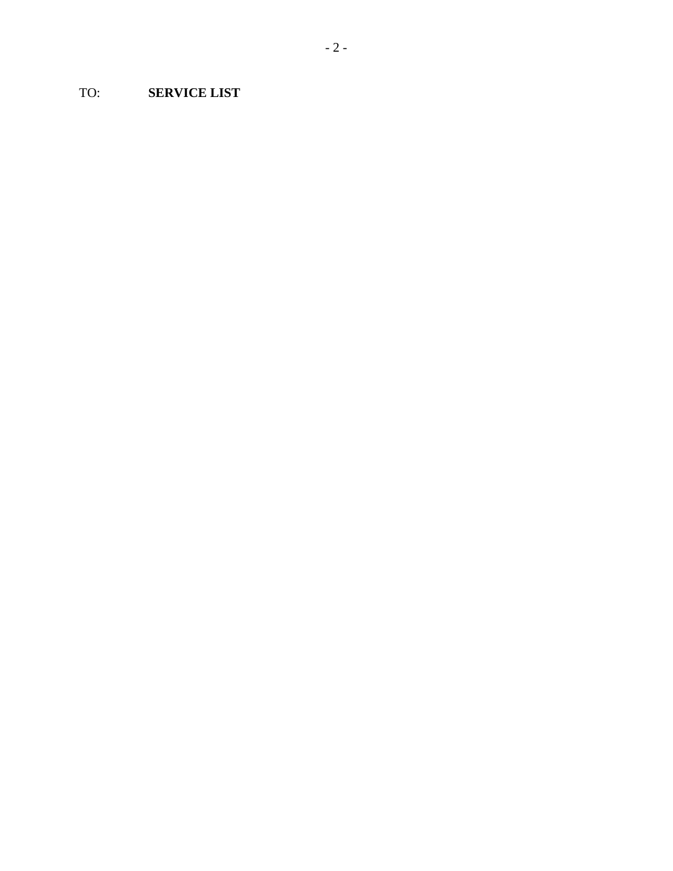TO: **SERVICE LIST**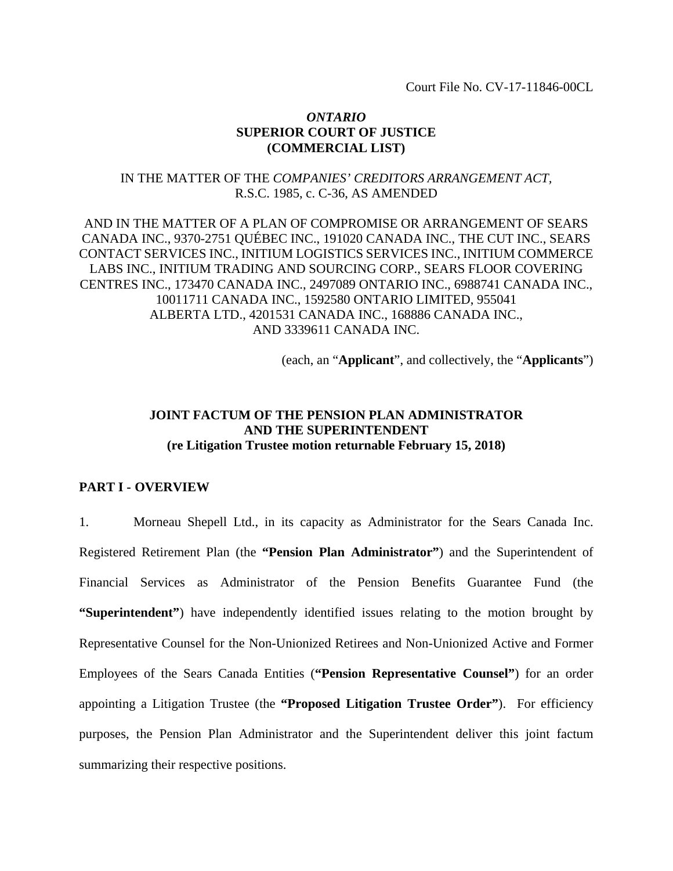Court File No. CV-17-11846-00CL

### *ONTARIO*  **SUPERIOR COURT OF JUSTICE (COMMERCIAL LIST)**

### IN THE MATTER OF THE *COMPANIES' CREDITORS ARRANGEMENT ACT,* R.S.C. 1985, c. C-36, AS AMENDED

AND IN THE MATTER OF A PLAN OF COMPROMISE OR ARRANGEMENT OF SEARS CANADA INC., 9370-2751 QUÉBEC INC., 191020 CANADA INC., THE CUT INC., SEARS CONTACT SERVICES INC., INITIUM LOGISTICS SERVICES INC., INITIUM COMMERCE LABS INC., INITIUM TRADING AND SOURCING CORP., SEARS FLOOR COVERING CENTRES INC., 173470 CANADA INC., 2497089 ONTARIO INC., 6988741 CANADA INC., 10011711 CANADA INC., 1592580 ONTARIO LIMITED, 955041 ALBERTA LTD., 4201531 CANADA INC., 168886 CANADA INC., AND 3339611 CANADA INC.

(each, an "**Applicant**", and collectively, the "**Applicants**")

# **JOINT FACTUM OF THE PENSION PLAN ADMINISTRATOR AND THE SUPERINTENDENT (re Litigation Trustee motion returnable February 15, 2018)**

### **PART I - OVERVIEW**

1. Morneau Shepell Ltd., in its capacity as Administrator for the Sears Canada Inc. Registered Retirement Plan (the **"Pension Plan Administrator"**) and the Superintendent of Financial Services as Administrator of the Pension Benefits Guarantee Fund (the **"Superintendent"**) have independently identified issues relating to the motion brought by Representative Counsel for the Non-Unionized Retirees and Non-Unionized Active and Former Employees of the Sears Canada Entities (**"Pension Representative Counsel"**) for an order appointing a Litigation Trustee (the **"Proposed Litigation Trustee Order"**). For efficiency purposes, the Pension Plan Administrator and the Superintendent deliver this joint factum summarizing their respective positions.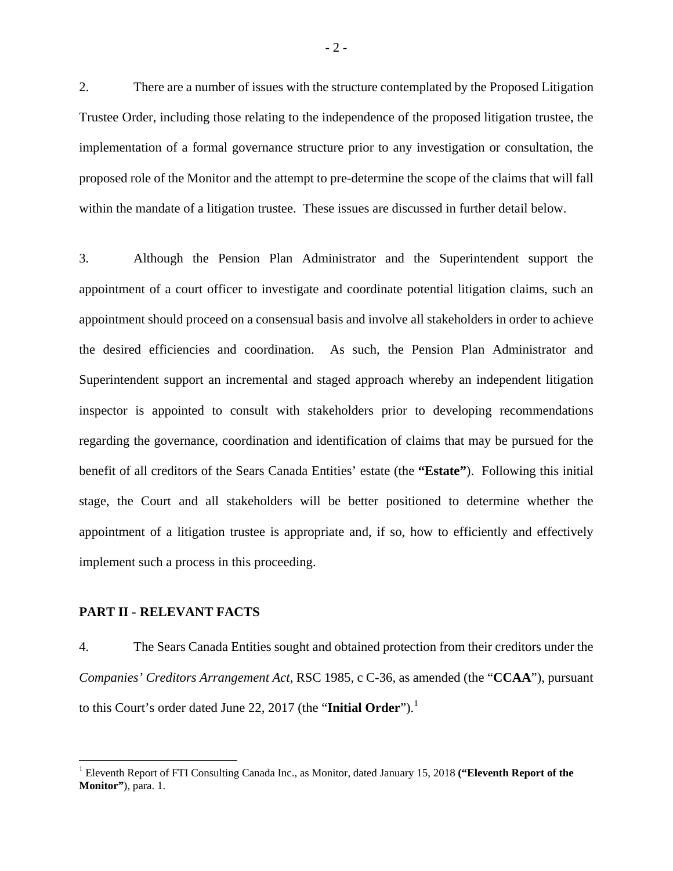2. There are a number of issues with the structure contemplated by the Proposed Litigation Trustee Order, including those relating to the independence of the proposed litigation trustee, the implementation of a formal governance structure prior to any investigation or consultation, the proposed role of the Monitor and the attempt to pre-determine the scope of the claims that will fall within the mandate of a litigation trustee. These issues are discussed in further detail below.

3. Although the Pension Plan Administrator and the Superintendent support the appointment of a court officer to investigate and coordinate potential litigation claims, such an appointment should proceed on a consensual basis and involve all stakeholders in order to achieve the desired efficiencies and coordination. As such, the Pension Plan Administrator and Superintendent support an incremental and staged approach whereby an independent litigation inspector is appointed to consult with stakeholders prior to developing recommendations regarding the governance, coordination and identification of claims that may be pursued for the benefit of all creditors of the Sears Canada Entities' estate (the **"Estate"**). Following this initial stage, the Court and all stakeholders will be better positioned to determine whether the appointment of a litigation trustee is appropriate and, if so, how to efficiently and effectively implement such a process in this proceeding.

#### **PART II - RELEVANT FACTS**

 $\overline{a}$ 

4. The Sears Canada Entities sought and obtained protection from their creditors under the *Companies' Creditors Arrangement Act*, RSC 1985, c C-36, as amended (the "**CCAA**"), pursuant to this Court's order dated June 22, 2017 (the "**Initial Order**").<sup>1</sup>

<sup>&</sup>lt;sup>1</sup> Eleventh Report of FTI Consulting Canada Inc., as Monitor, dated January 15, 2018 ("Eleventh Report of the **Monitor**", para. 1.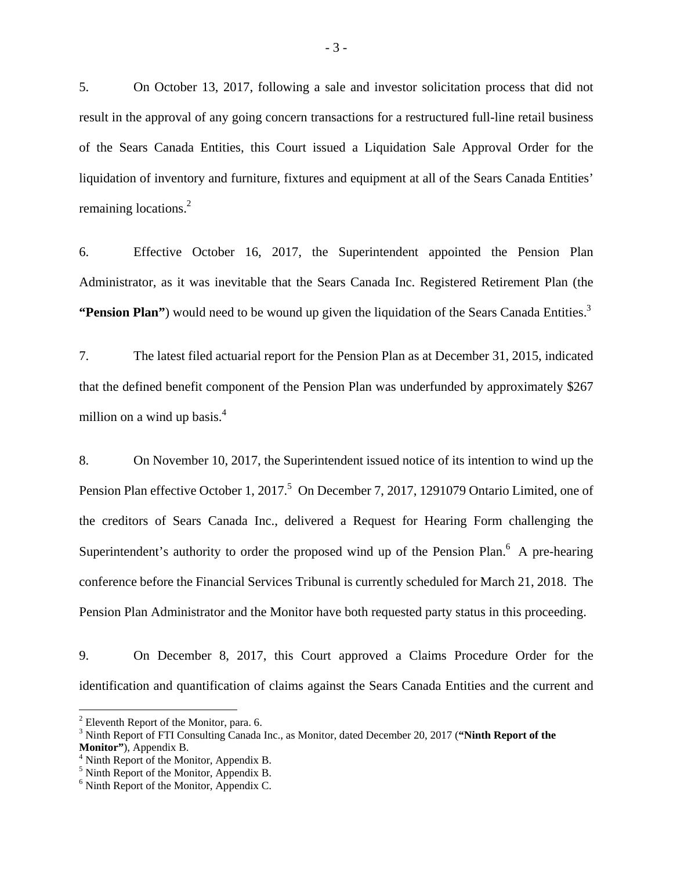5. On October 13, 2017, following a sale and investor solicitation process that did not result in the approval of any going concern transactions for a restructured full-line retail business of the Sears Canada Entities, this Court issued a Liquidation Sale Approval Order for the liquidation of inventory and furniture, fixtures and equipment at all of the Sears Canada Entities' remaining locations.<sup>2</sup>

6. Effective October 16, 2017, the Superintendent appointed the Pension Plan Administrator, as it was inevitable that the Sears Canada Inc. Registered Retirement Plan (the **"Pension Plan"**) would need to be wound up given the liquidation of the Sears Canada Entities.<sup>3</sup>

7. The latest filed actuarial report for the Pension Plan as at December 31, 2015, indicated that the defined benefit component of the Pension Plan was underfunded by approximately \$267 million on a wind up basis.<sup>4</sup>

8. On November 10, 2017, the Superintendent issued notice of its intention to wind up the Pension Plan effective October 1, 2017.<sup>5</sup> On December 7, 2017, 1291079 Ontario Limited, one of the creditors of Sears Canada Inc., delivered a Request for Hearing Form challenging the Superintendent's authority to order the proposed wind up of the Pension Plan. $<sup>6</sup>$  A pre-hearing</sup> conference before the Financial Services Tribunal is currently scheduled for March 21, 2018. The Pension Plan Administrator and the Monitor have both requested party status in this proceeding.

9. On December 8, 2017, this Court approved a Claims Procedure Order for the identification and quantification of claims against the Sears Canada Entities and the current and

 $\overline{a}$ 

 $2$  Eleventh Report of the Monitor, para. 6.

<sup>3</sup> Ninth Report of FTI Consulting Canada Inc., as Monitor, dated December 20, 2017 (**"Ninth Report of the**  Monitor"), Appendix B.

<sup>&</sup>lt;sup>4</sup> Ninth Report of the Monitor, Appendix B.

<sup>&</sup>lt;sup>5</sup> Ninth Report of the Monitor, Appendix B.

<sup>&</sup>lt;sup>6</sup> Ninth Report of the Monitor, Appendix C.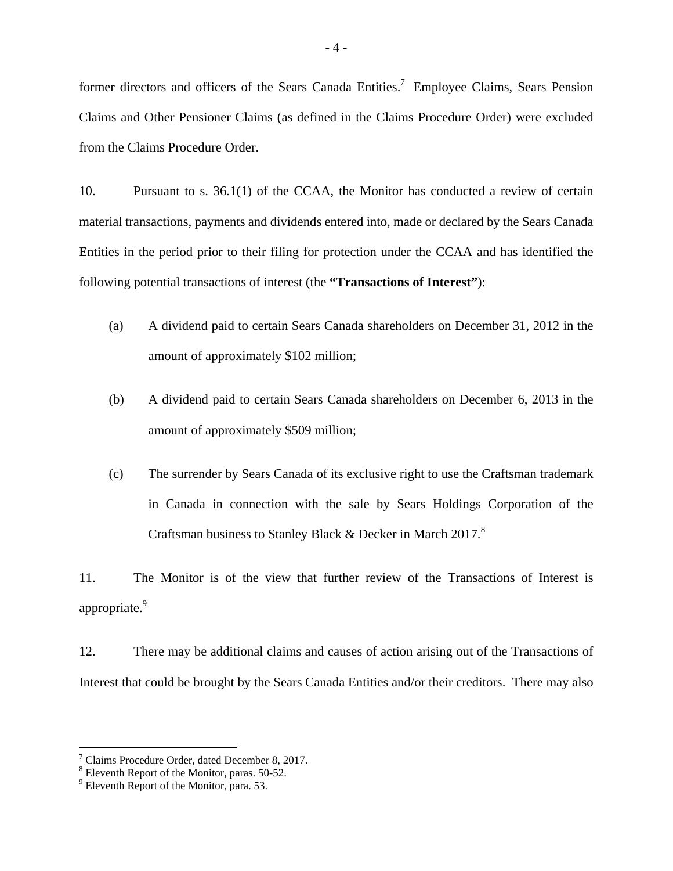former directors and officers of the Sears Canada Entities.<sup>7</sup> Employee Claims, Sears Pension Claims and Other Pensioner Claims (as defined in the Claims Procedure Order) were excluded from the Claims Procedure Order.

10. Pursuant to s. 36.1(1) of the CCAA, the Monitor has conducted a review of certain material transactions, payments and dividends entered into, made or declared by the Sears Canada Entities in the period prior to their filing for protection under the CCAA and has identified the following potential transactions of interest (the **"Transactions of Interest"**):

- (a) A dividend paid to certain Sears Canada shareholders on December 31, 2012 in the amount of approximately \$102 million;
- (b) A dividend paid to certain Sears Canada shareholders on December 6, 2013 in the amount of approximately \$509 million;
- (c) The surrender by Sears Canada of its exclusive right to use the Craftsman trademark in Canada in connection with the sale by Sears Holdings Corporation of the Craftsman business to Stanley Black & Decker in March 2017.<sup>8</sup>

11. The Monitor is of the view that further review of the Transactions of Interest is appropriate.<sup>9</sup>

12. There may be additional claims and causes of action arising out of the Transactions of Interest that could be brought by the Sears Canada Entities and/or their creditors. There may also

1

<sup>7</sup> Claims Procedure Order, dated December 8, 2017.

<sup>&</sup>lt;sup>8</sup> Eleventh Report of the Monitor, paras. 50-52.

<sup>&</sup>lt;sup>9</sup> Eleventh Report of the Monitor, para. 53.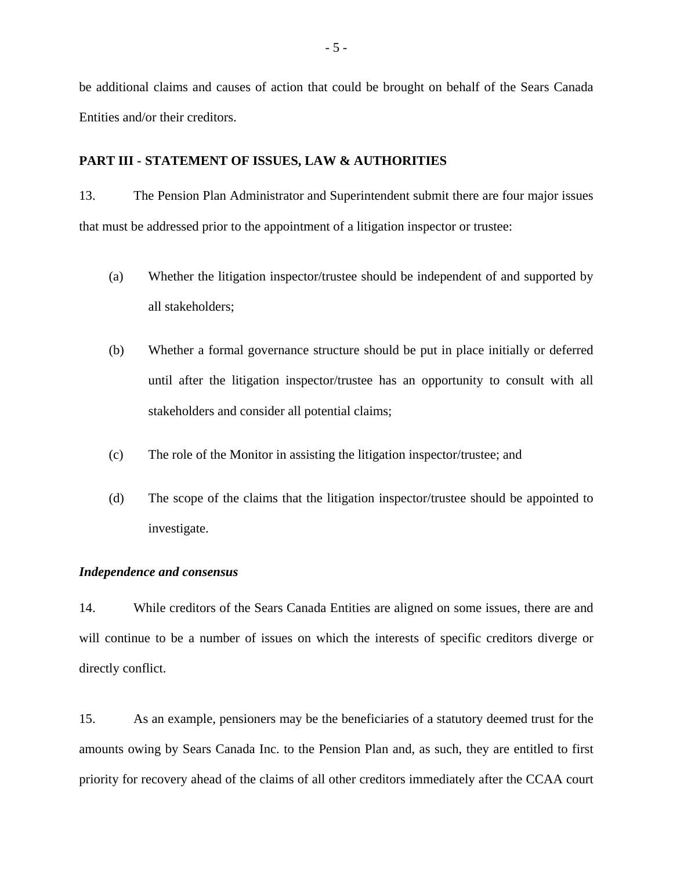be additional claims and causes of action that could be brought on behalf of the Sears Canada Entities and/or their creditors.

### **PART III - STATEMENT OF ISSUES, LAW & AUTHORITIES**

13. The Pension Plan Administrator and Superintendent submit there are four major issues that must be addressed prior to the appointment of a litigation inspector or trustee:

- (a) Whether the litigation inspector/trustee should be independent of and supported by all stakeholders;
- (b) Whether a formal governance structure should be put in place initially or deferred until after the litigation inspector/trustee has an opportunity to consult with all stakeholders and consider all potential claims;
- (c) The role of the Monitor in assisting the litigation inspector/trustee; and
- (d) The scope of the claims that the litigation inspector/trustee should be appointed to investigate.

#### *Independence and consensus*

14. While creditors of the Sears Canada Entities are aligned on some issues, there are and will continue to be a number of issues on which the interests of specific creditors diverge or directly conflict.

15. As an example, pensioners may be the beneficiaries of a statutory deemed trust for the amounts owing by Sears Canada Inc. to the Pension Plan and, as such, they are entitled to first priority for recovery ahead of the claims of all other creditors immediately after the CCAA court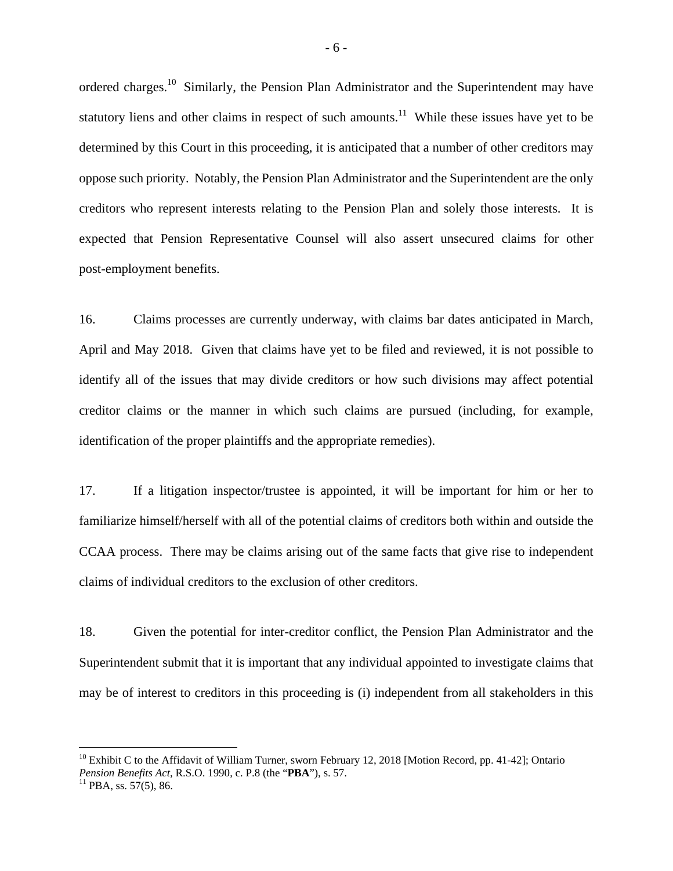ordered charges.<sup>10</sup> Similarly, the Pension Plan Administrator and the Superintendent may have statutory liens and other claims in respect of such amounts.<sup>11</sup> While these issues have yet to be determined by this Court in this proceeding, it is anticipated that a number of other creditors may oppose such priority. Notably, the Pension Plan Administrator and the Superintendent are the only creditors who represent interests relating to the Pension Plan and solely those interests. It is expected that Pension Representative Counsel will also assert unsecured claims for other post-employment benefits.

16. Claims processes are currently underway, with claims bar dates anticipated in March, April and May 2018. Given that claims have yet to be filed and reviewed, it is not possible to identify all of the issues that may divide creditors or how such divisions may affect potential creditor claims or the manner in which such claims are pursued (including, for example, identification of the proper plaintiffs and the appropriate remedies).

17. If a litigation inspector/trustee is appointed, it will be important for him or her to familiarize himself/herself with all of the potential claims of creditors both within and outside the CCAA process. There may be claims arising out of the same facts that give rise to independent claims of individual creditors to the exclusion of other creditors.

18. Given the potential for inter-creditor conflict, the Pension Plan Administrator and the Superintendent submit that it is important that any individual appointed to investigate claims that may be of interest to creditors in this proceeding is (i) independent from all stakeholders in this

 $\overline{a}$ 

 $10$  Exhibit C to the Affidavit of William Turner, sworn February 12, 2018 [Motion Record, pp. 41-42]; Ontario *Pension Benefits Act*, R.S.O. 1990, c. P.8 (the "**PBA**"), s. 57. <sup>11</sup> PBA, ss. 57(5), 86.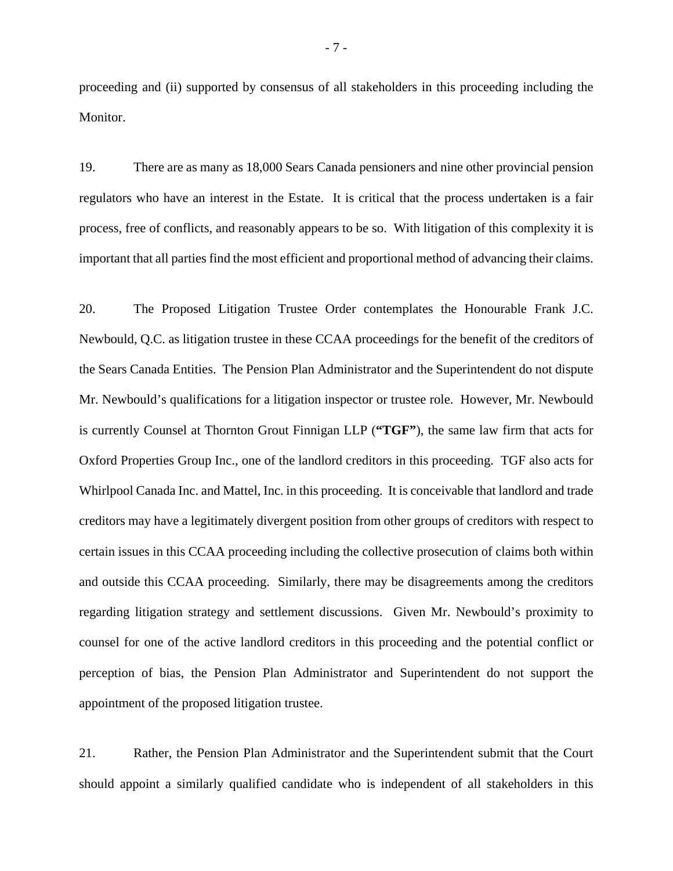proceeding and (ii) supported by consensus of all stakeholders in this proceeding including the Monitor.

19. There are as many as 18,000 Sears Canada pensioners and nine other provincial pension regulators who have an interest in the Estate. It is critical that the process undertaken is a fair process, free of conflicts, and reasonably appears to be so. With litigation of this complexity it is important that all parties find the most efficient and proportional method of advancing their claims.

20. The Proposed Litigation Trustee Order contemplates the Honourable Frank J.C. Newbould, Q.C. as litigation trustee in these CCAA proceedings for the benefit of the creditors of the Sears Canada Entities. The Pension Plan Administrator and the Superintendent do not dispute Mr. Newbould's qualifications for a litigation inspector or trustee role. However, Mr. Newbould is currently Counsel at Thornton Grout Finnigan LLP (**"TGF"**), the same law firm that acts for Oxford Properties Group Inc., one of the landlord creditors in this proceeding. TGF also acts for Whirlpool Canada Inc. and Mattel, Inc. in this proceeding. It is conceivable that landlord and trade creditors may have a legitimately divergent position from other groups of creditors with respect to certain issues in this CCAA proceeding including the collective prosecution of claims both within and outside this CCAA proceeding. Similarly, there may be disagreements among the creditors regarding litigation strategy and settlement discussions. Given Mr. Newbould's proximity to counsel for one of the active landlord creditors in this proceeding and the potential conflict or perception of bias, the Pension Plan Administrator and Superintendent do not support the appointment of the proposed litigation trustee.

21. Rather, the Pension Plan Administrator and the Superintendent submit that the Court should appoint a similarly qualified candidate who is independent of all stakeholders in this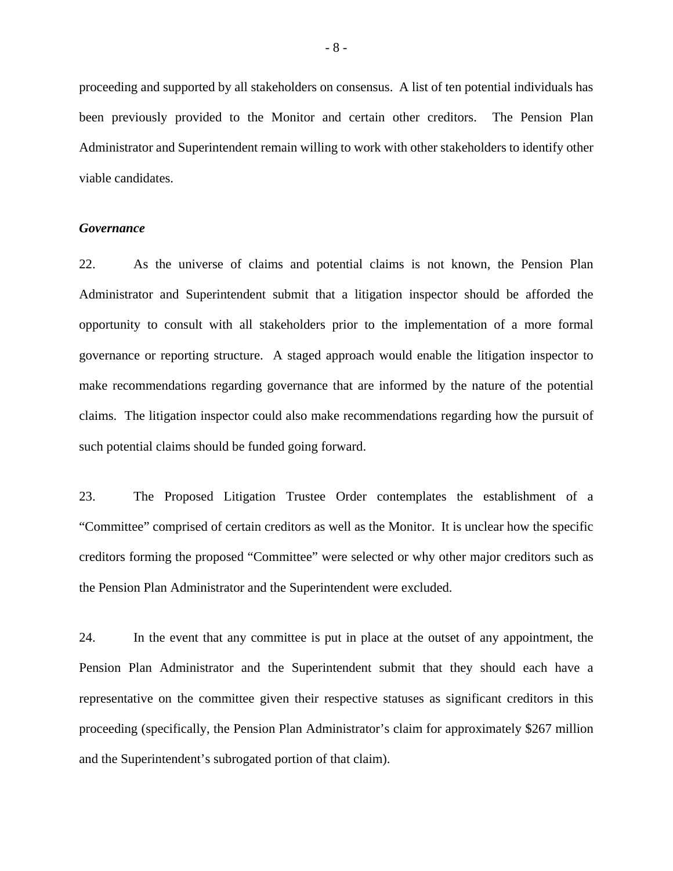proceeding and supported by all stakeholders on consensus. A list of ten potential individuals has been previously provided to the Monitor and certain other creditors. The Pension Plan Administrator and Superintendent remain willing to work with other stakeholders to identify other viable candidates.

#### *Governance*

22. As the universe of claims and potential claims is not known, the Pension Plan Administrator and Superintendent submit that a litigation inspector should be afforded the opportunity to consult with all stakeholders prior to the implementation of a more formal governance or reporting structure. A staged approach would enable the litigation inspector to make recommendations regarding governance that are informed by the nature of the potential claims. The litigation inspector could also make recommendations regarding how the pursuit of such potential claims should be funded going forward.

23. The Proposed Litigation Trustee Order contemplates the establishment of a "Committee" comprised of certain creditors as well as the Monitor. It is unclear how the specific creditors forming the proposed "Committee" were selected or why other major creditors such as the Pension Plan Administrator and the Superintendent were excluded.

24. In the event that any committee is put in place at the outset of any appointment, the Pension Plan Administrator and the Superintendent submit that they should each have a representative on the committee given their respective statuses as significant creditors in this proceeding (specifically, the Pension Plan Administrator's claim for approximately \$267 million and the Superintendent's subrogated portion of that claim).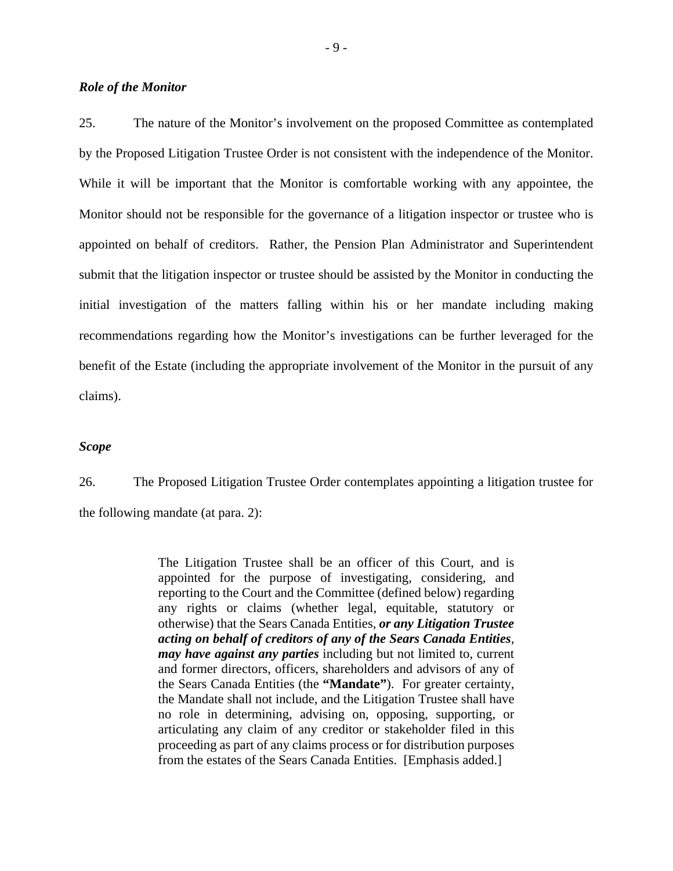### *Role of the Monitor*

25. The nature of the Monitor's involvement on the proposed Committee as contemplated by the Proposed Litigation Trustee Order is not consistent with the independence of the Monitor. While it will be important that the Monitor is comfortable working with any appointee, the Monitor should not be responsible for the governance of a litigation inspector or trustee who is appointed on behalf of creditors. Rather, the Pension Plan Administrator and Superintendent submit that the litigation inspector or trustee should be assisted by the Monitor in conducting the initial investigation of the matters falling within his or her mandate including making recommendations regarding how the Monitor's investigations can be further leveraged for the benefit of the Estate (including the appropriate involvement of the Monitor in the pursuit of any claims).

#### *Scope*

26. The Proposed Litigation Trustee Order contemplates appointing a litigation trustee for the following mandate (at para. 2):

> The Litigation Trustee shall be an officer of this Court, and is appointed for the purpose of investigating, considering, and reporting to the Court and the Committee (defined below) regarding any rights or claims (whether legal, equitable, statutory or otherwise) that the Sears Canada Entities, *or any Litigation Trustee acting on behalf of creditors of any of the Sears Canada Entities*, *may have against any parties* including but not limited to, current and former directors, officers, shareholders and advisors of any of the Sears Canada Entities (the **"Mandate"**). For greater certainty, the Mandate shall not include, and the Litigation Trustee shall have no role in determining, advising on, opposing, supporting, or articulating any claim of any creditor or stakeholder filed in this proceeding as part of any claims process or for distribution purposes from the estates of the Sears Canada Entities. [Emphasis added.]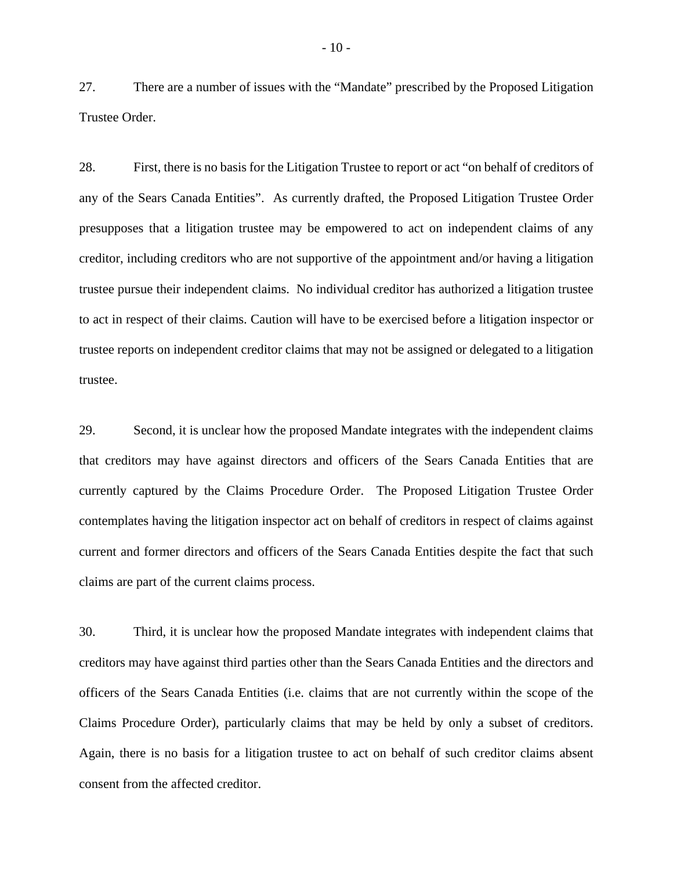27. There are a number of issues with the "Mandate" prescribed by the Proposed Litigation Trustee Order.

28. First, there is no basis for the Litigation Trustee to report or act "on behalf of creditors of any of the Sears Canada Entities". As currently drafted, the Proposed Litigation Trustee Order presupposes that a litigation trustee may be empowered to act on independent claims of any creditor, including creditors who are not supportive of the appointment and/or having a litigation trustee pursue their independent claims. No individual creditor has authorized a litigation trustee to act in respect of their claims. Caution will have to be exercised before a litigation inspector or trustee reports on independent creditor claims that may not be assigned or delegated to a litigation trustee.

29. Second, it is unclear how the proposed Mandate integrates with the independent claims that creditors may have against directors and officers of the Sears Canada Entities that are currently captured by the Claims Procedure Order. The Proposed Litigation Trustee Order contemplates having the litigation inspector act on behalf of creditors in respect of claims against current and former directors and officers of the Sears Canada Entities despite the fact that such claims are part of the current claims process.

30. Third, it is unclear how the proposed Mandate integrates with independent claims that creditors may have against third parties other than the Sears Canada Entities and the directors and officers of the Sears Canada Entities (i.e. claims that are not currently within the scope of the Claims Procedure Order), particularly claims that may be held by only a subset of creditors. Again, there is no basis for a litigation trustee to act on behalf of such creditor claims absent consent from the affected creditor.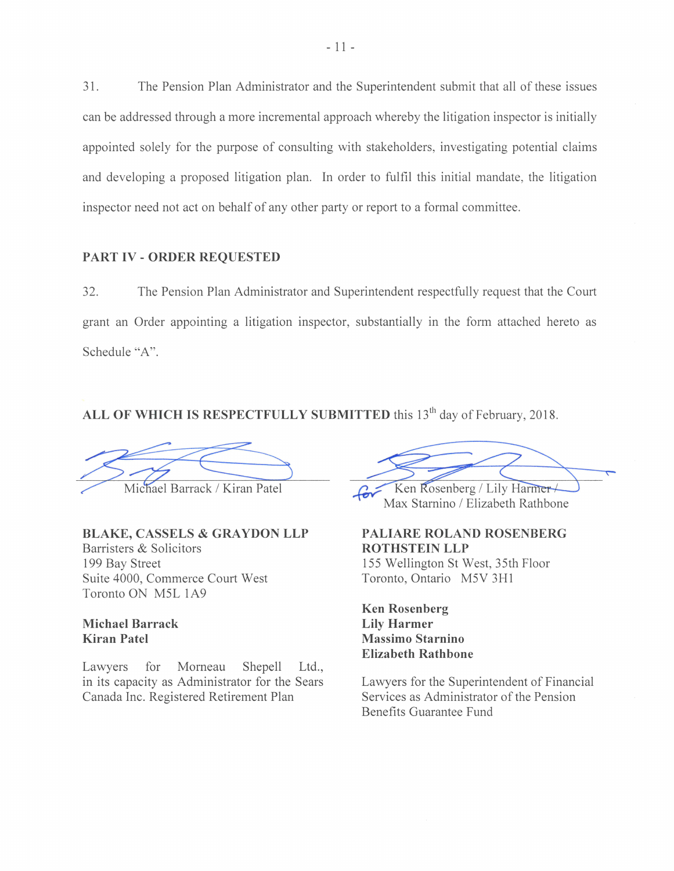31. The Pension Plan Administrator and the Superintendent submit that all of these issues can be addressed through a more incremental approach whereby the litigation inspector is initially appointed solely for the purpose of consulting with stakeholders, investigating potential claims and developing a proposed litigation plan. In order to fulfil this initial mandate, the litigation inspector need not act on behalf of any other party or report to a formal committee.

### **PART IV - ORDER REQUESTED**

32. The Pension Plan Administrator and Superintendent respectfully request that the Court grant an Order appointing a litigation inspector, substantially in the form attached hereto as Schedule "A".

ALL OF WHICH IS RESPECTFULLY SUBMITTED this 13<sup>th</sup> day of February, 2018.

Michael Barrack / Kiran Patel

# **BLAKE, CASSELS & GRAYDON LLP**

Barristers & Solicitors 199 Bay Street Suite 4000, Commerce Court West Toronto ON M5L 1A9

# **Michael Barrack Kiran Patel**

Lawyers for Morneau Shepell Ltd., in its capacity as Administrator for the Sears Canada Inc. Registered Retirement Plan

TED this 13<sup>th</sup> day of February, 2018.<br>
Max Starnino / Elizabeth Rathbone

**PALIARE ROLAND ROSENBERG ROTHSTEIN LLP**  155 Wellington St West, 35th Floor Toronto, Ontario M5V 3Hl

# **Ken Rosenberg Lily Harmer Massimo Starnino Elizabeth Rathbone**

Lawyers for the Superintendent of Financial Services as Administrator of the Pension Benefits Guarantee Fund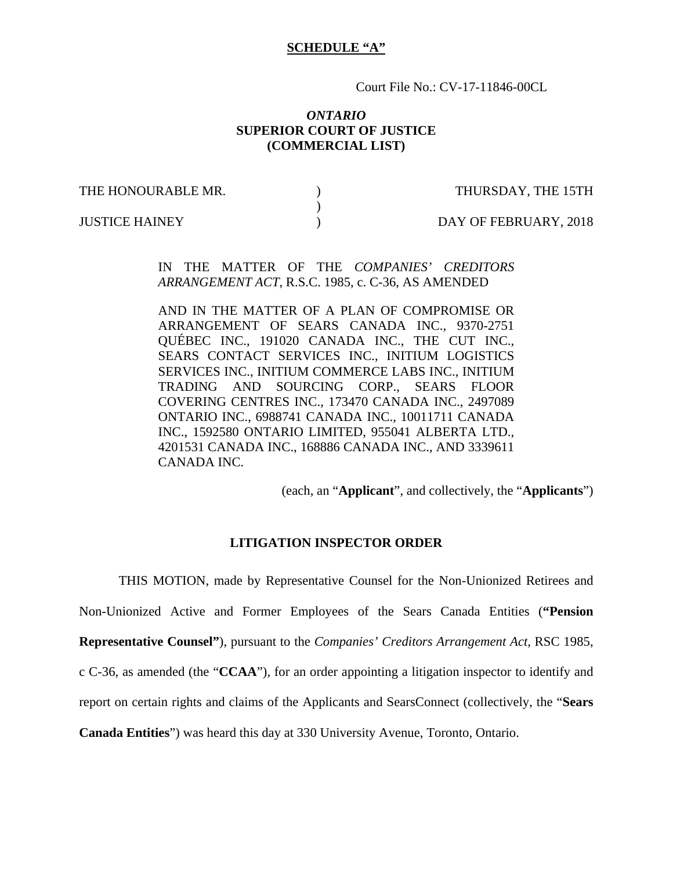### **SCHEDULE "A"**

Court File No.: CV-17-11846-00CL

### *ONTARIO*  **SUPERIOR COURT OF JUSTICE (COMMERCIAL LIST)**

THE HONOURABLE MR.  $\qquad \qquad$  ) THURSDAY, THE 15TH

 $)$ 

JUSTICE HAINEY ) DAY OF FEBRUARY, 2018

IN THE MATTER OF THE *COMPANIES' CREDITORS ARRANGEMENT ACT*, R.S.C. 1985, c. C-36, AS AMENDED

AND IN THE MATTER OF A PLAN OF COMPROMISE OR ARRANGEMENT OF SEARS CANADA INC., 9370-2751 QUÉBEC INC., 191020 CANADA INC., THE CUT INC., SEARS CONTACT SERVICES INC., INITIUM LOGISTICS SERVICES INC., INITIUM COMMERCE LABS INC., INITIUM TRADING AND SOURCING CORP., SEARS FLOOR COVERING CENTRES INC., 173470 CANADA INC., 2497089 ONTARIO INC., 6988741 CANADA INC., 10011711 CANADA INC., 1592580 ONTARIO LIMITED, 955041 ALBERTA LTD., 4201531 CANADA INC., 168886 CANADA INC., AND 3339611 CANADA INC.

(each, an "**Applicant**", and collectively, the "**Applicants**")

### **LITIGATION INSPECTOR ORDER**

THIS MOTION, made by Representative Counsel for the Non-Unionized Retirees and

Non-Unionized Active and Former Employees of the Sears Canada Entities (**"Pension** 

**Representative Counsel"**), pursuant to the *Companies' Creditors Arrangement Act,* RSC 1985,

c C-36, as amended (the "**CCAA**"), for an order appointing a litigation inspector to identify and

report on certain rights and claims of the Applicants and SearsConnect (collectively, the "**Sears** 

**Canada Entities**") was heard this day at 330 University Avenue, Toronto, Ontario.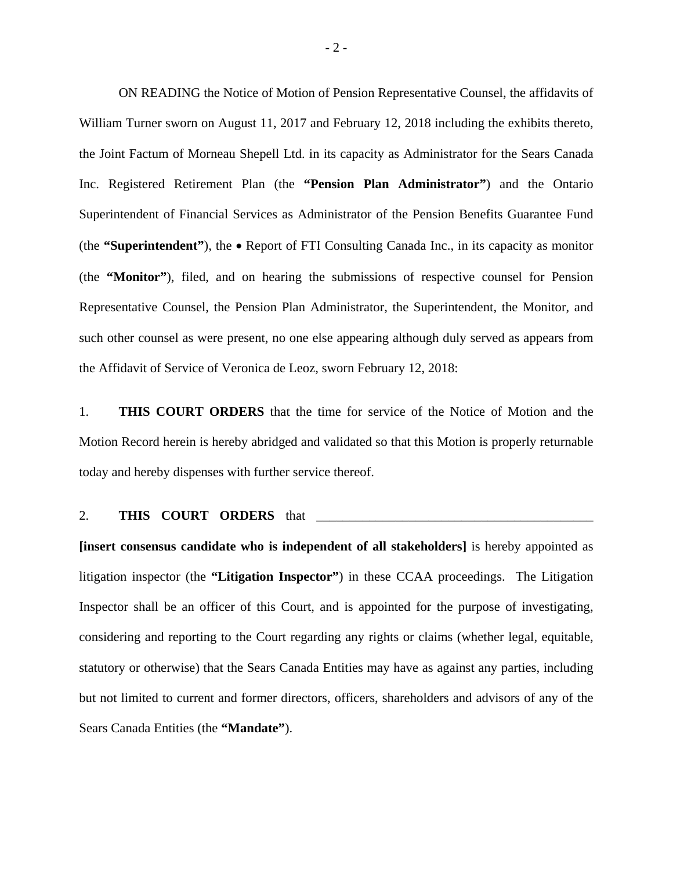ON READING the Notice of Motion of Pension Representative Counsel, the affidavits of William Turner sworn on August 11, 2017 and February 12, 2018 including the exhibits thereto, the Joint Factum of Morneau Shepell Ltd. in its capacity as Administrator for the Sears Canada Inc. Registered Retirement Plan (the **"Pension Plan Administrator"**) and the Ontario Superintendent of Financial Services as Administrator of the Pension Benefits Guarantee Fund (the **"Superintendent"**), the • Report of FTI Consulting Canada Inc., in its capacity as monitor (the **"Monitor"**), filed, and on hearing the submissions of respective counsel for Pension Representative Counsel, the Pension Plan Administrator, the Superintendent, the Monitor, and such other counsel as were present, no one else appearing although duly served as appears from the Affidavit of Service of Veronica de Leoz, sworn February 12, 2018:

1. **THIS COURT ORDERS** that the time for service of the Notice of Motion and the Motion Record herein is hereby abridged and validated so that this Motion is properly returnable today and hereby dispenses with further service thereof.

### 2. **THIS COURT ORDERS** that

**[insert consensus candidate who is independent of all stakeholders]** is hereby appointed as litigation inspector (the **"Litigation Inspector"**) in these CCAA proceedings. The Litigation Inspector shall be an officer of this Court, and is appointed for the purpose of investigating, considering and reporting to the Court regarding any rights or claims (whether legal, equitable, statutory or otherwise) that the Sears Canada Entities may have as against any parties, including but not limited to current and former directors, officers, shareholders and advisors of any of the Sears Canada Entities (the **"Mandate"**).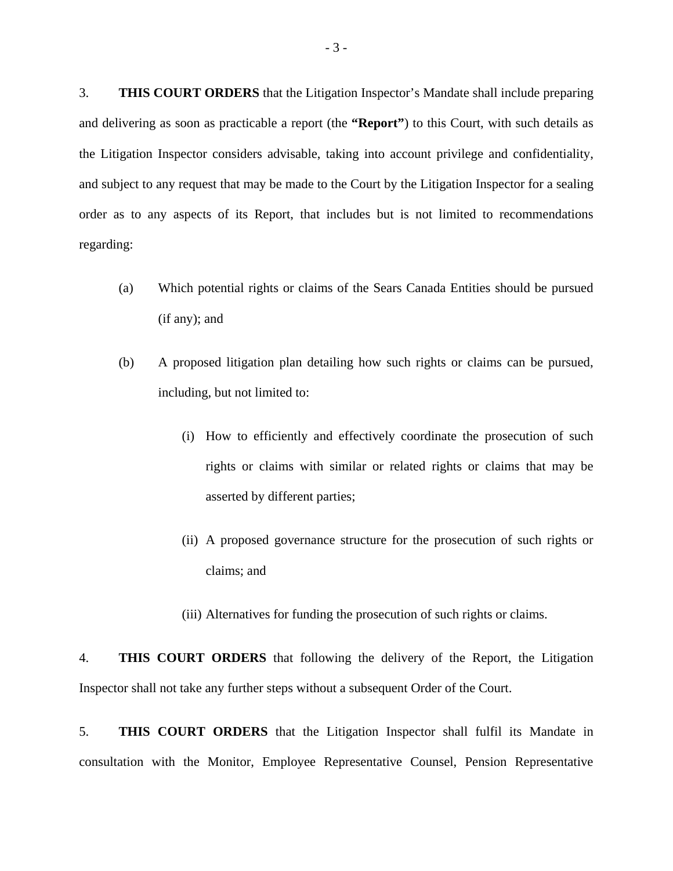3. **THIS COURT ORDERS** that the Litigation Inspector's Mandate shall include preparing and delivering as soon as practicable a report (the **"Report"**) to this Court, with such details as the Litigation Inspector considers advisable, taking into account privilege and confidentiality, and subject to any request that may be made to the Court by the Litigation Inspector for a sealing order as to any aspects of its Report, that includes but is not limited to recommendations regarding:

- (a) Which potential rights or claims of the Sears Canada Entities should be pursued (if any); and
- (b) A proposed litigation plan detailing how such rights or claims can be pursued, including, but not limited to:
	- (i) How to efficiently and effectively coordinate the prosecution of such rights or claims with similar or related rights or claims that may be asserted by different parties;
	- (ii) A proposed governance structure for the prosecution of such rights or claims; and
	- (iii) Alternatives for funding the prosecution of such rights or claims.

4. **THIS COURT ORDERS** that following the delivery of the Report, the Litigation Inspector shall not take any further steps without a subsequent Order of the Court.

5. **THIS COURT ORDERS** that the Litigation Inspector shall fulfil its Mandate in consultation with the Monitor, Employee Representative Counsel, Pension Representative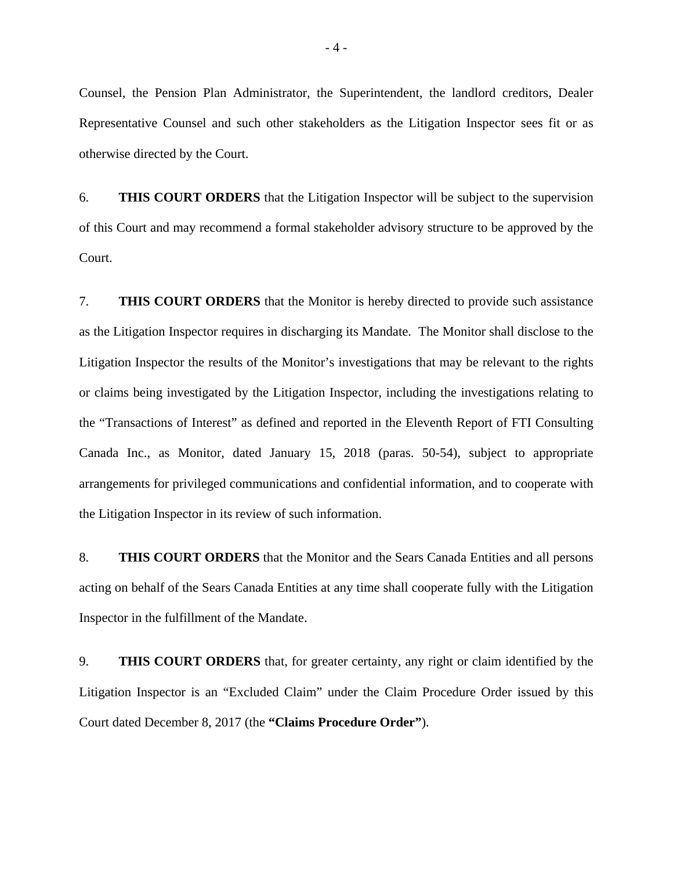Counsel, the Pension Plan Administrator, the Superintendent, the landlord creditors, Dealer Representative Counsel and such other stakeholders as the Litigation Inspector sees fit or as otherwise directed by the Court.

6. **THIS COURT ORDERS** that the Litigation Inspector will be subject to the supervision of this Court and may recommend a formal stakeholder advisory structure to be approved by the Court.

7. **THIS COURT ORDERS** that the Monitor is hereby directed to provide such assistance as the Litigation Inspector requires in discharging its Mandate. The Monitor shall disclose to the Litigation Inspector the results of the Monitor's investigations that may be relevant to the rights or claims being investigated by the Litigation Inspector, including the investigations relating to the "Transactions of Interest" as defined and reported in the Eleventh Report of FTI Consulting Canada Inc., as Monitor, dated January 15, 2018 (paras. 50-54), subject to appropriate arrangements for privileged communications and confidential information, and to cooperate with the Litigation Inspector in its review of such information.

8. **THIS COURT ORDERS** that the Monitor and the Sears Canada Entities and all persons acting on behalf of the Sears Canada Entities at any time shall cooperate fully with the Litigation Inspector in the fulfillment of the Mandate.

9. **THIS COURT ORDERS** that, for greater certainty, any right or claim identified by the Litigation Inspector is an "Excluded Claim" under the Claim Procedure Order issued by this Court dated December 8, 2017 (the **"Claims Procedure Order"**).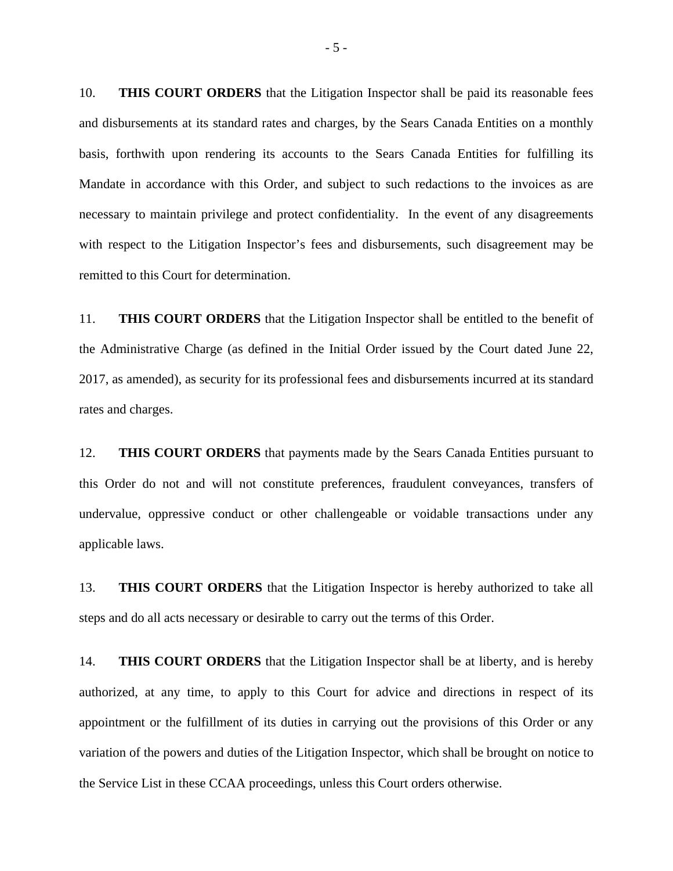10. **THIS COURT ORDERS** that the Litigation Inspector shall be paid its reasonable fees and disbursements at its standard rates and charges, by the Sears Canada Entities on a monthly basis, forthwith upon rendering its accounts to the Sears Canada Entities for fulfilling its Mandate in accordance with this Order, and subject to such redactions to the invoices as are necessary to maintain privilege and protect confidentiality. In the event of any disagreements with respect to the Litigation Inspector's fees and disbursements, such disagreement may be remitted to this Court for determination.

11. **THIS COURT ORDERS** that the Litigation Inspector shall be entitled to the benefit of the Administrative Charge (as defined in the Initial Order issued by the Court dated June 22, 2017, as amended), as security for its professional fees and disbursements incurred at its standard rates and charges.

12. **THIS COURT ORDERS** that payments made by the Sears Canada Entities pursuant to this Order do not and will not constitute preferences, fraudulent conveyances, transfers of undervalue, oppressive conduct or other challengeable or voidable transactions under any applicable laws.

13. **THIS COURT ORDERS** that the Litigation Inspector is hereby authorized to take all steps and do all acts necessary or desirable to carry out the terms of this Order.

14. **THIS COURT ORDERS** that the Litigation Inspector shall be at liberty, and is hereby authorized, at any time, to apply to this Court for advice and directions in respect of its appointment or the fulfillment of its duties in carrying out the provisions of this Order or any variation of the powers and duties of the Litigation Inspector, which shall be brought on notice to the Service List in these CCAA proceedings, unless this Court orders otherwise.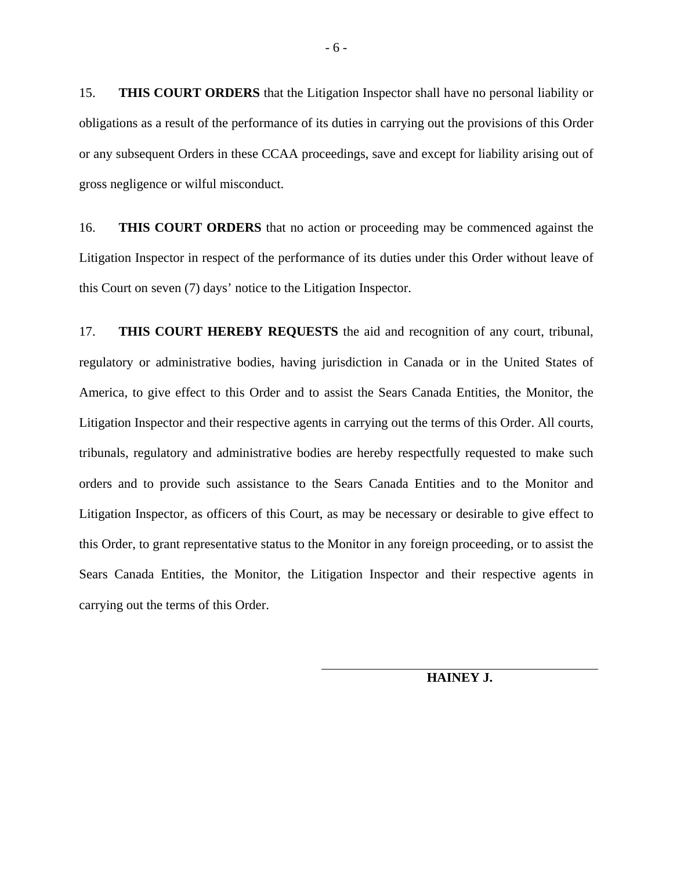15. **THIS COURT ORDERS** that the Litigation Inspector shall have no personal liability or obligations as a result of the performance of its duties in carrying out the provisions of this Order or any subsequent Orders in these CCAA proceedings, save and except for liability arising out of gross negligence or wilful misconduct.

16. **THIS COURT ORDERS** that no action or proceeding may be commenced against the Litigation Inspector in respect of the performance of its duties under this Order without leave of this Court on seven (7) days' notice to the Litigation Inspector.

17. **THIS COURT HEREBY REQUESTS** the aid and recognition of any court, tribunal, regulatory or administrative bodies, having jurisdiction in Canada or in the United States of America, to give effect to this Order and to assist the Sears Canada Entities, the Monitor, the Litigation Inspector and their respective agents in carrying out the terms of this Order. All courts, tribunals, regulatory and administrative bodies are hereby respectfully requested to make such orders and to provide such assistance to the Sears Canada Entities and to the Monitor and Litigation Inspector, as officers of this Court, as may be necessary or desirable to give effect to this Order, to grant representative status to the Monitor in any foreign proceeding, or to assist the Sears Canada Entities, the Monitor, the Litigation Inspector and their respective agents in carrying out the terms of this Order.

**HAINEY J.**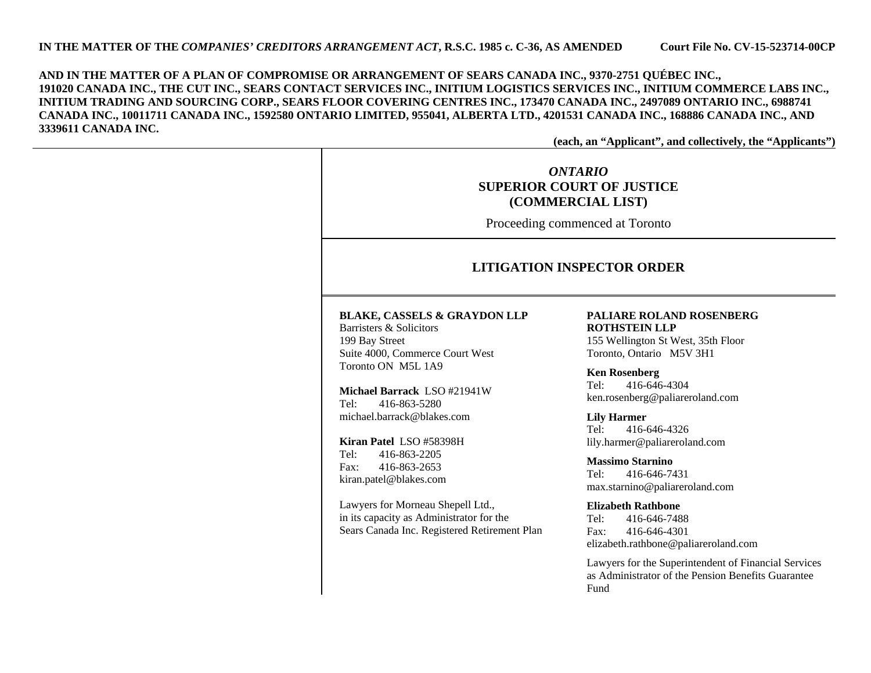**AND IN THE MATTER OF A PLAN OF COMPROMISE OR ARRANGEMENT OF SEARS CANADA INC., 9370-2751 QUÉBEC INC., 191020 CANADA INC., THE CUT INC., SEARS CONTACT SERVICES INC., INITIUM LOGISTICS SERVICES INC., INITIUM COMMERCE LABS INC., INITIUM TRADING AND SOURCING CORP., SEARS FLOOR COVERING CENTRES INC., 173470 CANADA INC., 2497089 ONTARIO INC., 6988741 CANADA INC., 10011711 CANADA INC., 1592580 ONTARIO LIMITED, 955041, ALBERTA LTD., 4201531 CANADA INC., 168886 CANADA INC., AND 3339611 CANADA INC.** 

**(each, an "Applicant", and collectively, the "Applicants")** 

# *ONTARIO***SUPERIOR COURT OF JUSTICE (COMMERCIAL LIST)**

Proceeding commenced at Toronto

### **LITIGATION INSPECTOR ORDER**

#### **BLAKE, CASSELS & GRAYDON LLP**

Barristers & Solicitors 199 Bay Street Suite 4000, Commerce Court West Toronto ON M5L 1A9

**Michael Barrack** LSO #21941W Tel: 416-863-5280 michael.barrack@blakes.com

**Kiran Patel** LSO #58398H Tel: 416-863-2205 Fax: 416-863-2653 kiran.patel@blakes.com

Lawyers for Morneau Shepell Ltd., in its capacity as Administrator for the Sears Canada Inc. Registered Retirement Plan

#### **PALIARE ROLAND ROSENBERG ROTHSTEIN LLP**

155 Wellington St West, 35th Floor Toronto, Ontario M5V 3H1

#### **Ken Rosenberg**

Tel: 416-646-4304 ken.rosenberg@paliareroland.com

**Lily Harmer**  Tel: 416-646-4326 lily.harmer@paliareroland.com

**Massimo Starnino** Tel: 416-646-7431 max.starnino@paliareroland.com

#### **Elizabeth Rathbone**

Tel: 416-646-7488 Fax: 416-646-4301 elizabeth.rathbone@paliareroland.com

Lawyers for the Superintendent of Financial Services as Administrator of the Pension Benefits Guarantee Fund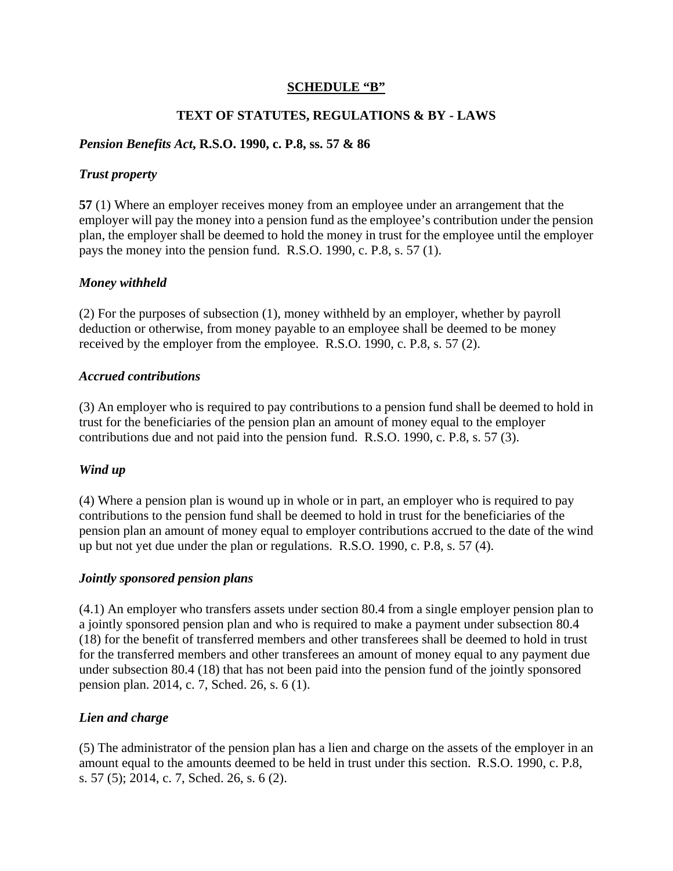## **SCHEDULE "B"**

# **TEXT OF STATUTES, REGULATIONS & BY - LAWS**

# *Pension Benefits Act***, R.S.O. 1990, c. P.8, ss. 57 & 86**

### *Trust property*

**57** (1) Where an employer receives money from an employee under an arrangement that the employer will pay the money into a pension fund as the employee's contribution under the pension plan, the employer shall be deemed to hold the money in trust for the employee until the employer pays the money into the pension fund. R.S.O. 1990, c. P.8, s. 57 (1).

# *Money withheld*

(2) For the purposes of subsection (1), money withheld by an employer, whether by payroll deduction or otherwise, from money payable to an employee shall be deemed to be money received by the employer from the employee. R.S.O. 1990, c. P.8, s. 57 (2).

### *Accrued contributions*

(3) An employer who is required to pay contributions to a pension fund shall be deemed to hold in trust for the beneficiaries of the pension plan an amount of money equal to the employer contributions due and not paid into the pension fund. R.S.O. 1990, c. P.8, s. 57 (3).

# *Wind up*

(4) Where a pension plan is wound up in whole or in part, an employer who is required to pay contributions to the pension fund shall be deemed to hold in trust for the beneficiaries of the pension plan an amount of money equal to employer contributions accrued to the date of the wind up but not yet due under the plan or regulations. R.S.O. 1990, c. P.8, s. 57 (4).

### *Jointly sponsored pension plans*

(4.1) An employer who transfers assets under section 80.4 from a single employer pension plan to a jointly sponsored pension plan and who is required to make a payment under subsection 80.4 (18) for the benefit of transferred members and other transferees shall be deemed to hold in trust for the transferred members and other transferees an amount of money equal to any payment due under subsection 80.4 (18) that has not been paid into the pension fund of the jointly sponsored pension plan. 2014, c. 7, Sched. 26, s. 6 (1).

# *Lien and charge*

(5) The administrator of the pension plan has a lien and charge on the assets of the employer in an amount equal to the amounts deemed to be held in trust under this section. R.S.O. 1990, c. P.8, s. 57 (5); 2014, c. 7, Sched. 26, s. 6 (2).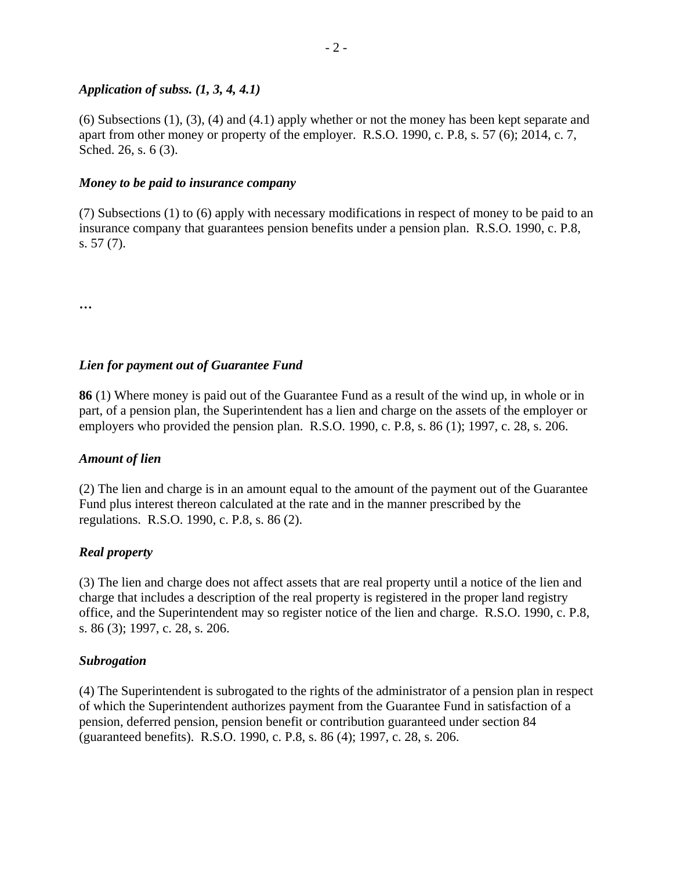### *Application of subss. (1, 3, 4, 4.1)*

(6) Subsections (1), (3), (4) and (4.1) apply whether or not the money has been kept separate and apart from other money or property of the employer. R.S.O. 1990, c. P.8, s. 57 (6); 2014, c. 7, Sched. 26, s. 6 (3).

### *Money to be paid to insurance company*

(7) Subsections (1) to (6) apply with necessary modifications in respect of money to be paid to an insurance company that guarantees pension benefits under a pension plan. R.S.O. 1990, c. P.8, s. 57 (7).

**…** 

# *Lien for payment out of Guarantee Fund*

**86** (1) Where money is paid out of the Guarantee Fund as a result of the wind up, in whole or in part, of a pension plan, the Superintendent has a lien and charge on the assets of the employer or employers who provided the pension plan. R.S.O. 1990, c. P.8, s. 86 (1); 1997, c. 28, s. 206.

### *Amount of lien*

(2) The lien and charge is in an amount equal to the amount of the payment out of the Guarantee Fund plus interest thereon calculated at the rate and in the manner prescribed by the regulations. R.S.O. 1990, c. P.8, s. 86 (2).

### *Real property*

(3) The lien and charge does not affect assets that are real property until a notice of the lien and charge that includes a description of the real property is registered in the proper land registry office, and the Superintendent may so register notice of the lien and charge. R.S.O. 1990, c. P.8, s. 86 (3); 1997, c. 28, s. 206.

### *Subrogation*

(4) The Superintendent is subrogated to the rights of the administrator of a pension plan in respect of which the Superintendent authorizes payment from the Guarantee Fund in satisfaction of a pension, deferred pension, pension benefit or contribution guaranteed under section 84 (guaranteed benefits). R.S.O. 1990, c. P.8, s. 86 (4); 1997, c. 28, s. 206.